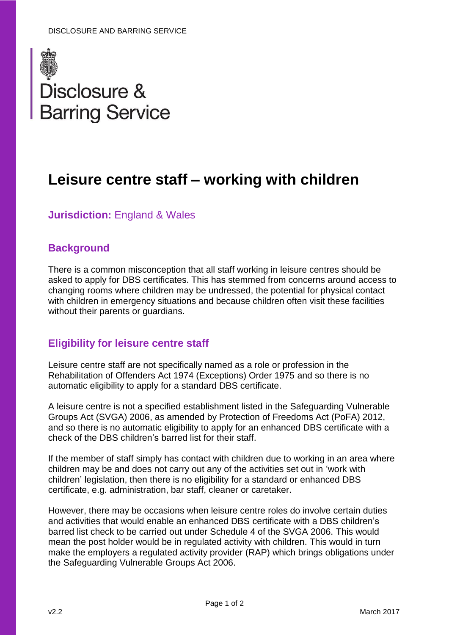

# **Leisure centre staff – working with children**

## **Jurisdiction: England & Wales**

## **Background**

There is a common misconception that all staff working in leisure centres should be asked to apply for DBS certificates. This has stemmed from concerns around access to changing rooms where children may be undressed, the potential for physical contact with children in emergency situations and because children often visit these facilities without their parents or guardians.

### **Eligibility for leisure centre staff**

Leisure centre staff are not specifically named as a role or profession in the Rehabilitation of Offenders Act 1974 (Exceptions) Order 1975 and so there is no automatic eligibility to apply for a standard DBS certificate.

A leisure centre is not a specified establishment listed in the Safeguarding Vulnerable Groups Act (SVGA) 2006, as amended by Protection of Freedoms Act (PoFA) 2012, and so there is no automatic eligibility to apply for an enhanced DBS certificate with a check of the DBS children's barred list for their staff.

If the member of staff simply has contact with children due to working in an area where children may be and does not carry out any of the activities set out in 'work with children' legislation, then there is no eligibility for a standard or enhanced DBS certificate, e.g. administration, bar staff, cleaner or caretaker.

However, there may be occasions when leisure centre roles do involve certain duties and activities that would enable an enhanced DBS certificate with a DBS children's barred list check to be carried out under Schedule 4 of the SVGA 2006. This would mean the post holder would be in regulated activity with children. This would in turn make the employers a regulated activity provider (RAP) which brings obligations under the Safeguarding Vulnerable Groups Act 2006.